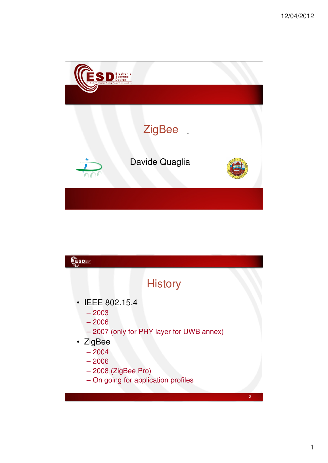

| <b>ESD</b>                                                                                                                                                                                |                |
|-------------------------------------------------------------------------------------------------------------------------------------------------------------------------------------------|----------------|
|                                                                                                                                                                                           | <b>History</b> |
| $\cdot$ IEEE 802.15.4<br>$-2003$<br>$-2006$<br>- 2007 (only for PHY layer for UWB annex)<br>• ZigBee<br>$-2004$<br>$-2006$<br>$-2008$ (ZigBee Pro)<br>- On going for application profiles |                |
|                                                                                                                                                                                           | $\overline{2}$ |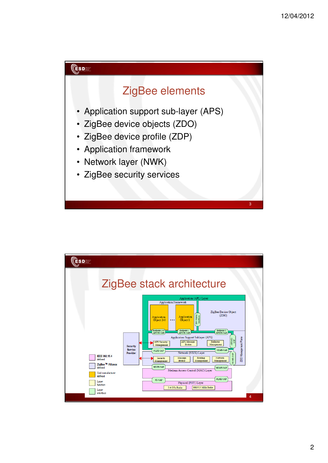

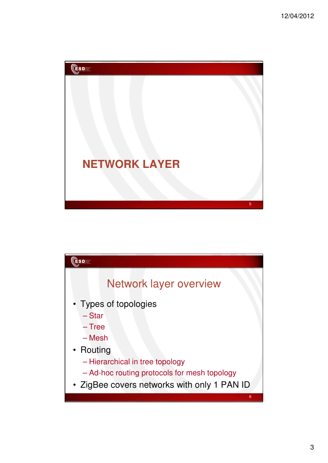

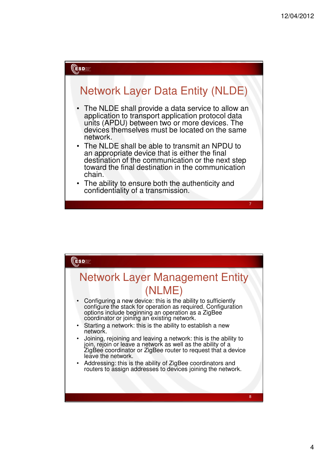

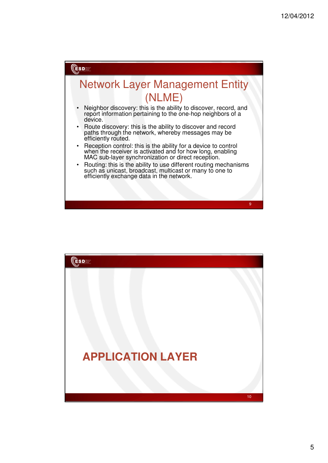

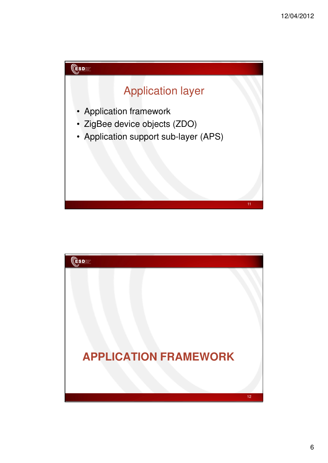

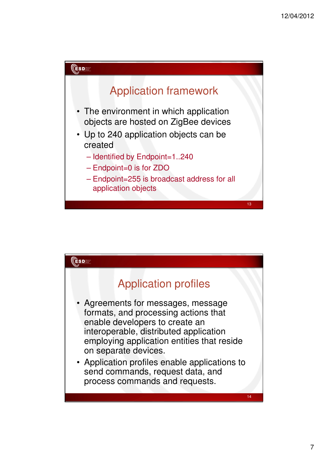

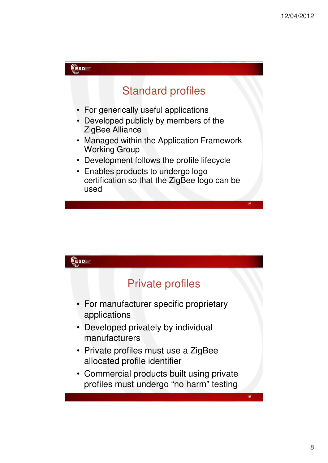

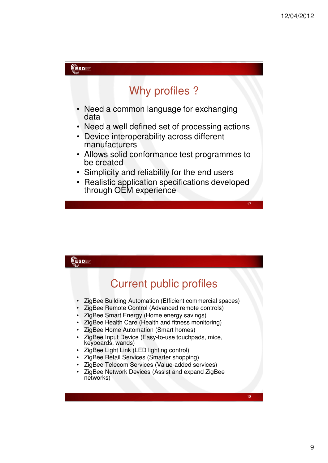

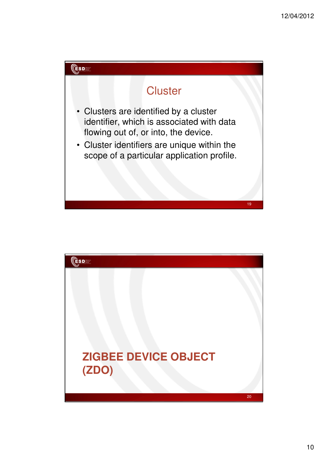

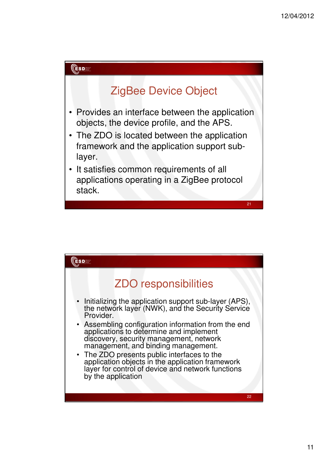

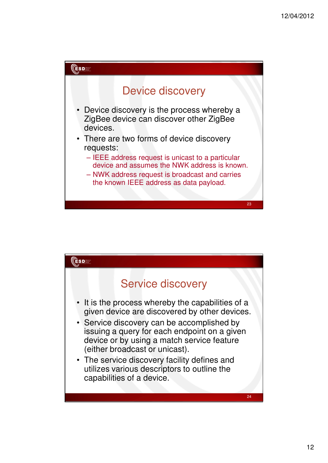

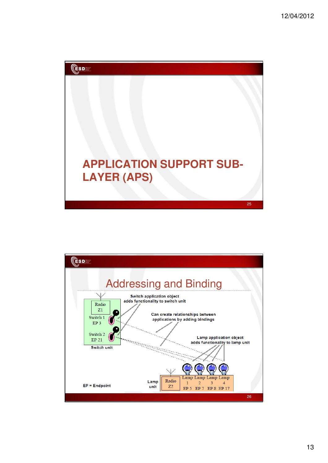

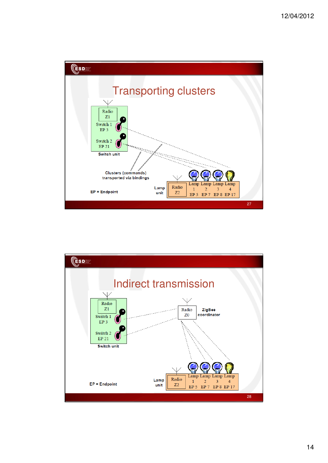

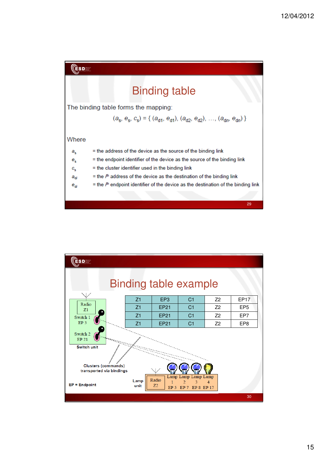

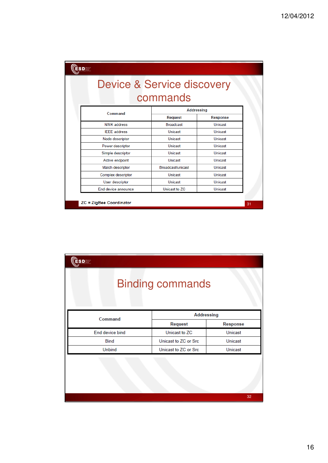| <b>ESDEE</b><br><b>Device &amp; Service discovery</b><br>commands |  |                   |                 |  |  |  |
|-------------------------------------------------------------------|--|-------------------|-----------------|--|--|--|
| Command                                                           |  | <b>Addressing</b> |                 |  |  |  |
|                                                                   |  | <b>Request</b>    | <b>Response</b> |  |  |  |
| <b>NWK</b> address                                                |  | <b>Broadcast</b>  | Unicast         |  |  |  |
| <b>IFFF</b> address                                               |  | Unicast           | Unicast         |  |  |  |
| Node descriptor                                                   |  | Unicast           | Unicast         |  |  |  |
| Power descriptor                                                  |  | Unicast           | Unicast         |  |  |  |
| Simple descriptor                                                 |  | Unicast           | Unicast         |  |  |  |
| Active endpoint                                                   |  | Unicast           | Unicast         |  |  |  |
| Match descriptor                                                  |  | Broadcast/unicast | Unicast         |  |  |  |
| <b>Complex descriptor</b>                                         |  | Unicast           | Unicast         |  |  |  |
| User descriptor                                                   |  | Unicast           | Unicast         |  |  |  |
| End device announce                                               |  | Unicast to ZC     | Unicast         |  |  |  |

| $\mathsf{C}\mathsf{SD}$ |                      |          |  |  |  |
|-------------------------|----------------------|----------|--|--|--|
| <b>Binding commands</b> |                      |          |  |  |  |
| Command                 | <b>Addressing</b>    |          |  |  |  |
|                         | <b>Request</b>       | Response |  |  |  |
| End device bind         | Unicast to ZC        | Unicast  |  |  |  |
| <b>Bind</b>             | Unicast to ZC or Src | Unicast  |  |  |  |
| <b>Unbind</b>           | Unicast to ZC or Src | Unicast  |  |  |  |
|                         |                      |          |  |  |  |
|                         |                      | 32       |  |  |  |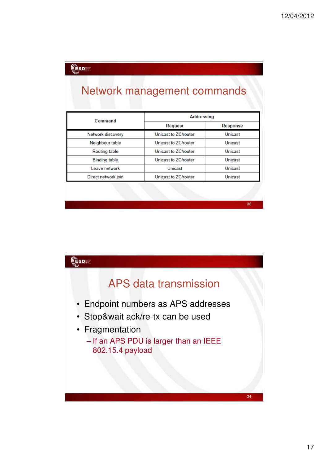| ÊSD T<br>Network management commands |                      |            |  |  |  |
|--------------------------------------|----------------------|------------|--|--|--|
| Command                              |                      | Addressing |  |  |  |
|                                      | Request              | Response   |  |  |  |
| Network discovery                    | Unicast to ZC/router | Unicast    |  |  |  |
| Neighbour table                      | Unicast to ZC/router | Unicast    |  |  |  |
| <b>Routing table</b>                 | Unicast to ZC/router | Unicast    |  |  |  |
| <b>Binding table</b>                 | Unicast to ZC/router | Unicast    |  |  |  |
| Leave network                        | Unicast              | Unicast    |  |  |  |
| Direct network join                  | Unicast to ZC/router | Unicast    |  |  |  |
|                                      |                      |            |  |  |  |
|                                      |                      | 33         |  |  |  |

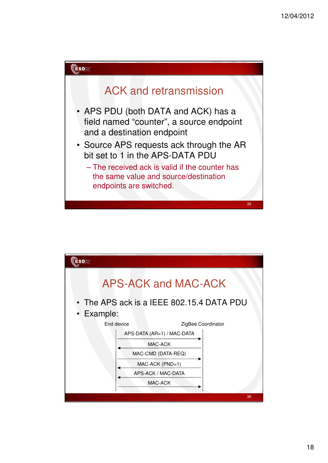

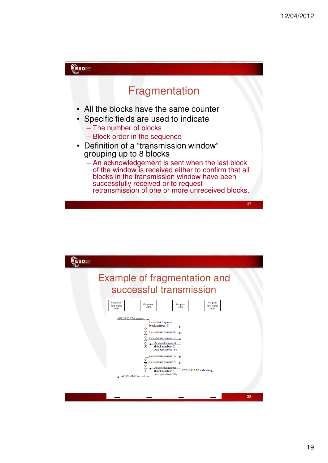